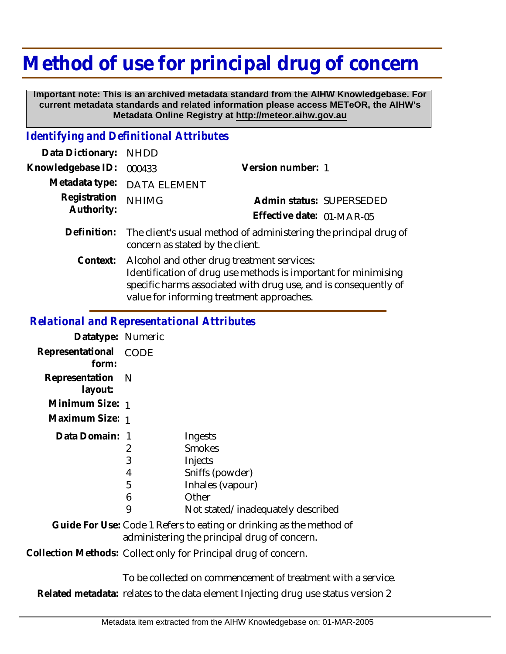## **Method of use for principal drug of concern**

 **Important note: This is an archived metadata standard from the AIHW Knowledgebase. For current metadata standards and related information please access METeOR, the AIHW's Metadata Online Registry at http://meteor.aihw.gov.au**

## *Identifying and Definitional Attributes*

| Data Dictionary:           | <b>NHDD</b>                                                                                                                                                                                                                  |                           |                          |
|----------------------------|------------------------------------------------------------------------------------------------------------------------------------------------------------------------------------------------------------------------------|---------------------------|--------------------------|
| Knowledgebase ID:          | 000433                                                                                                                                                                                                                       | Version number: 1         |                          |
| Metadata type:             | <b>DATA ELEMENT</b>                                                                                                                                                                                                          |                           |                          |
| Registration<br>Authority: | <b>NHIMG</b>                                                                                                                                                                                                                 |                           | Admin status: SUPERSEDED |
|                            |                                                                                                                                                                                                                              | Effective date: 01-MAR-05 |                          |
| Definition:                | The client's usual method of administering the principal drug of<br>concern as stated by the client.                                                                                                                         |                           |                          |
| Context:                   | Alcohol and other drug treatment services:<br>Identification of drug use methods is important for minimising<br>specific harms associated with drug use, and is consequently of<br>value for informing treatment approaches. |                           |                          |

## *Relational and Representational Attributes*

| Datatype: Numeric                                                                                                   |                       |                                                                                     |
|---------------------------------------------------------------------------------------------------------------------|-----------------------|-------------------------------------------------------------------------------------|
| Representational<br>form:                                                                                           | <b>CODE</b>           |                                                                                     |
| Representation<br>layout:                                                                                           | - N                   |                                                                                     |
| Minimum Size: 1                                                                                                     |                       |                                                                                     |
| Maximum Size: 1                                                                                                     |                       |                                                                                     |
| Data Domain: 1                                                                                                      | 2<br>3<br>4<br>5<br>6 | Ingests<br><b>Smokes</b><br>Injects<br>Sniffs (powder)<br>Inhales (vapour)<br>Other |
|                                                                                                                     | 9                     | Not stated/inadequately described                                                   |
| Guide For Use: Code 1 Refers to eating or drinking as the method of<br>administering the principal drug of concern. |                       |                                                                                     |
| Collection Methods: Collect only for Principal drug of concern.                                                     |                       |                                                                                     |

To be collected on commencement of treatment with a service.

**Related metadata:** relates to the data element Injecting drug use status version 2